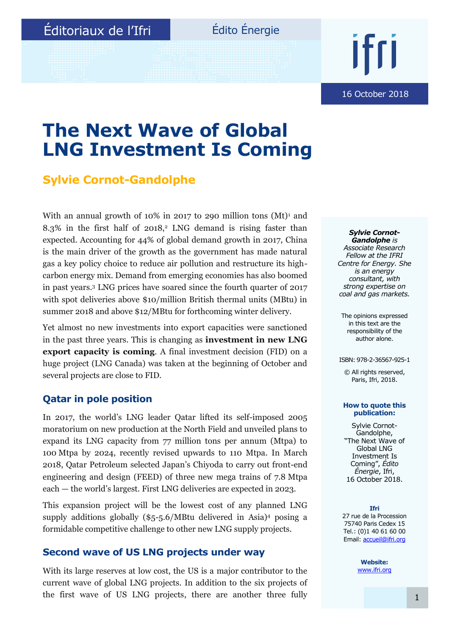## Édito Énergie

16 October 2018

## **The Next Wave of Global LNG Investment Is Coming**

### **Sylvie Cornot-Gandolphe**

With an annual growth of 10% in 2017 to 290 million tons  $(Mt)<sup>1</sup>$  and  $8.3\%$  in the first half of 2018,<sup>2</sup> LNG demand is rising faster than expected. Accounting for 44% of global demand growth in 2017, China is the main driver of the growth as the government has made natural gas a key policy choice to reduce air pollution and restructure its highcarbon energy mix. Demand from emerging economies has also boomed in past years.<sup>3</sup> LNG prices have soared since the fourth quarter of 2017 with spot deliveries above \$10/million British thermal units (MBtu) in summer 2018 and above \$12/MBtu for forthcoming winter delivery.

Yet almost no new investments into export capacities were sanctioned in the past three years. This is changing as **investment in new LNG export capacity is coming**. A final investment decision (FID) on a huge project (LNG Canada) was taken at the beginning of October and several projects are close to FID.

### **Qatar in pole position**

In 2017, the world's LNG leader Qatar lifted its self-imposed 2005 moratorium on new production at the North Field and unveiled plans to expand its LNG capacity from 77 million tons per annum (Mtpa) to 100 Mtpa by 2024, recently revised upwards to 110 Mtpa. In March 2018, Qatar Petroleum selected Japan's Chiyoda to carry out front-end engineering and design (FEED) of three new mega trains of 7.8 Mtpa each — the world's largest. First LNG deliveries are expected in 2023.

This expansion project will be the lowest cost of any planned LNG supply additions globally (\$5-5.6/MBtu delivered in Asia)<sup>4</sup> posing a formidable competitive challenge to other new LNG supply projects.

#### **Second wave of US LNG projects under way**

With its large reserves at low cost, the US is a major contributor to the current wave of global LNG projects. In addition to the six projects of the first wave of US LNG projects, there are another three fully

*Sylvie Cornot-Gandolphe is Associate Research Fellow at the IFRI Centre for Energy. She is an energy consultant, with strong expertise on coal and gas markets.*

The opinions expressed in this text are the responsibility of the author alone.

ISBN: 978-2-36567-925-1

© All rights reserved, Paris, Ifri, 2018.

#### **How to quote this publication:**

Sylvie Cornot-Gandolphe, "The Next Wave of Global LNG Investment Is Coming", *Édito Énergie*, Ifri, 16 October 2018.

**Ifri** 27 rue de la Procession 75740 Paris Cedex 15 Tel.: (0)1 40 61 60 00 Email: [accueil@ifri.org](mailto:accueil@ifri.org)

> **Website:** [www.ifri.org](http://www.ifri.org/)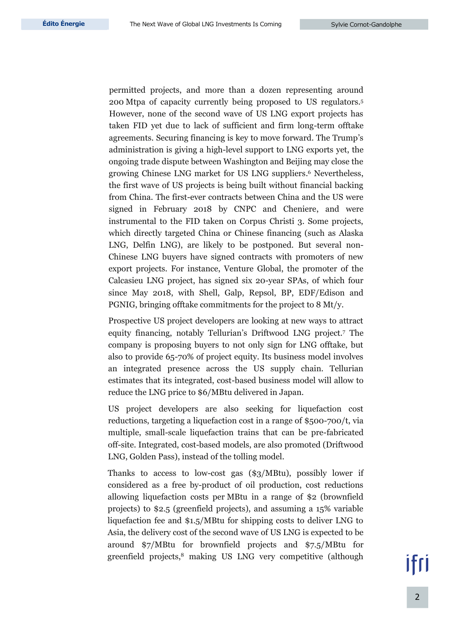permitted projects, and more than a dozen representing around 200 Mtpa of capacity currently being proposed to US regulators.<sup>5</sup> However, none of the second wave of US LNG export projects has taken FID yet due to lack of sufficient and firm long-term offtake agreements. Securing financing is key to move forward. The Trump's administration is giving a high-level support to LNG exports yet, the ongoing trade dispute between Washington and Beijing may close the growing Chinese LNG market for US LNG suppliers. <sup>6</sup> Nevertheless, the first wave of US projects is being built without financial backing from China. The first-ever contracts between China and the US were signed in February 2018 by CNPC and Cheniere, and were instrumental to the FID taken on Corpus Christi 3. Some projects, which directly targeted China or Chinese financing (such as Alaska LNG, Delfin LNG), are likely to be postponed. But several non-Chinese LNG buyers have signed contracts with promoters of new export projects. For instance, Venture Global, the promoter of the Calcasieu LNG project, has signed six 20-year SPAs, of which four since May 2018, with Shell, Galp, Repsol, BP, EDF/Edison and PGNIG, bringing offtake commitments for the project to 8 Mt/y.

Prospective US project developers are looking at new ways to attract equity financing, notably Tellurian's Driftwood LNG project.<sup>7</sup> The company is proposing buyers to not only sign for LNG offtake, but also to provide 65-70% of project equity. Its business model involves an integrated presence across the US supply chain. Tellurian estimates that its integrated, cost-based business model will allow to reduce the LNG price to \$6/MBtu delivered in Japan.

US project developers are also seeking for liquefaction cost reductions, targeting a liquefaction cost in a range of \$500-700/t, via multiple, small-scale liquefaction trains that can be pre-fabricated off-site. Integrated, cost-based models, are also promoted (Driftwood LNG, Golden Pass), instead of the tolling model.

Thanks to access to low-cost gas (\$3/MBtu), possibly lower if considered as a free by-product of oil production, cost reductions allowing liquefaction costs per MBtu in a range of \$2 (brownfield projects) to \$2.5 (greenfield projects), and assuming a 15% variable liquefaction fee and \$1.5/MBtu for shipping costs to deliver LNG to Asia, the delivery cost of the second wave of US LNG is expected to be around \$7/MBtu for brownfield projects and \$7.5/MBtu for greenfield projects,<sup>8</sup> making US LNG very competitive (although

2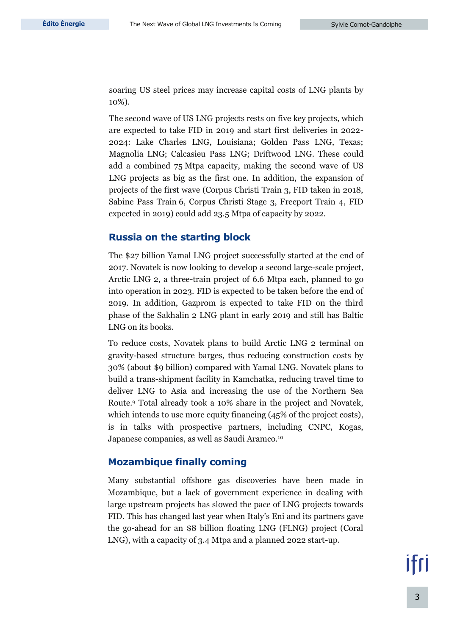soaring US steel prices may increase capital costs of LNG plants by 10%).

The second wave of US LNG projects rests on five key projects, which are expected to take FID in 2019 and start first deliveries in 2022- 2024: Lake Charles LNG, Louisiana; Golden Pass LNG, Texas; Magnolia LNG; Calcasieu Pass LNG; Driftwood LNG. These could add a combined 75 Mtpa capacity, making the second wave of US LNG projects as big as the first one. In addition, the expansion of projects of the first wave (Corpus Christi Train 3, FID taken in 2018, Sabine Pass Train 6, Corpus Christi Stage 3, Freeport Train 4, FID expected in 2019) could add 23.5 Mtpa of capacity by 2022.

#### **Russia on the starting block**

The \$27 billion Yamal LNG project successfully started at the end of 2017. Novatek is now looking to develop a second large-scale project, Arctic LNG 2, a three-train project of 6.6 Mtpa each, planned to go into operation in 2023. FID is expected to be taken before the end of 2019. In addition, Gazprom is expected to take FID on the third phase of the Sakhalin 2 LNG plant in early 2019 and still has Baltic LNG on its books.

To reduce costs, Novatek plans to build Arctic LNG 2 terminal on gravity-based structure barges, thus reducing construction costs by 30% (about \$9 billion) compared with Yamal LNG. Novatek plans to build a trans-shipment facility in Kamchatka, reducing travel time to deliver LNG to Asia and increasing the use of the Northern Sea Route. <sup>9</sup> Total already took a 10% share in the project and Novatek, which intends to use more equity financing (45% of the project costs), is in talks with prospective partners, including CNPC, Kogas, Japanese companies, as well as Saudi Aramco.<sup>10</sup>

#### **Mozambique finally coming**

Many substantial offshore gas discoveries have been made in Mozambique, but a lack of government experience in dealing with large upstream projects has slowed the pace of LNG projects towards FID. This has changed last year when Italy's Eni and its partners gave the go-ahead for an \$8 billion floating LNG (FLNG) project (Coral LNG), with a capacity of 3.4 Mtpa and a planned 2022 start-up.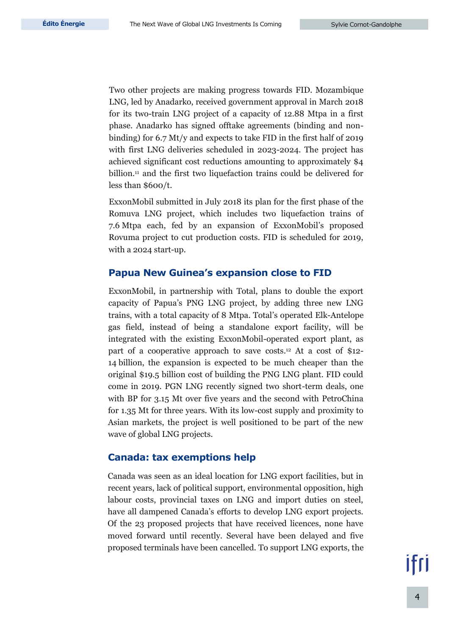Two other projects are making progress towards FID. Mozambique LNG, led by Anadarko, received government approval in March 2018 for its two-train LNG project of a capacity of 12.88 Mtpa in a first phase. Anadarko has signed offtake agreements (binding and nonbinding) for 6.7 Mt/y and expects to take FID in the first half of 2019 with first LNG deliveries scheduled in 2023-2024. The project has achieved significant cost reductions amounting to approximately \$4 billion.<sup>11</sup> and the first two liquefaction trains could be delivered for less than \$600/t.

ExxonMobil submitted in July 2018 its plan for the first phase of the Romuva LNG project, which includes two liquefaction trains of 7.6 Mtpa each, fed by an expansion of ExxonMobil's proposed Rovuma project to cut production costs. FID is scheduled for 2019, with a 2024 start-up.

#### **Papua New Guinea's expansion close to FID**

ExxonMobil, in partnership with Total, plans to double the export capacity of Papua's PNG LNG project, by adding three new LNG trains, with a total capacity of 8 Mtpa. Total's operated Elk-Antelope gas field, instead of being a standalone export facility, will be integrated with the existing ExxonMobil-operated export plant, as part of a cooperative approach to save costs.<sup>12</sup> At a cost of \$12- 14 billion, the expansion is expected to be much cheaper than the original \$19.5 billion cost of building the PNG LNG plant. FID could come in 2019. PGN LNG recently signed two short-term deals, one with BP for 3.15 Mt over five years and the second with PetroChina for 1.35 Mt for three years. With its low-cost supply and proximity to Asian markets, the project is well positioned to be part of the new wave of global LNG projects.

#### **Canada: tax exemptions help**

Canada was seen as an ideal location for LNG export facilities, but in recent years, lack of political support, environmental opposition, high labour costs, provincial taxes on LNG and import duties on steel, have all dampened Canada's efforts to develop LNG export projects. Of the 23 proposed projects that have received licences, none have moved forward until recently. Several have been delayed and five proposed terminals have been cancelled. To support LNG exports, the

||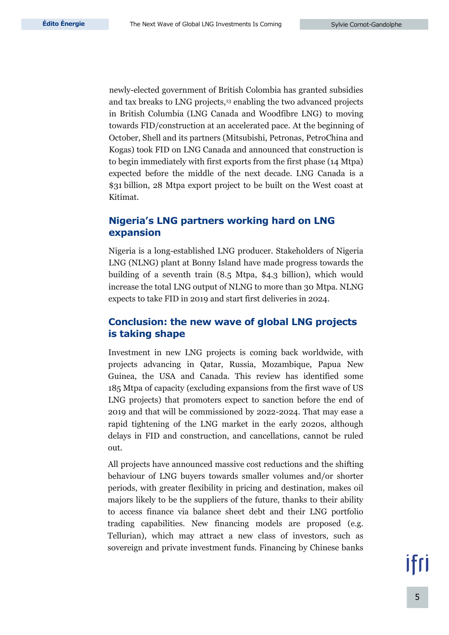newly-elected government of British Colombia has granted subsidies and tax breaks to LNG projects,<sup>13</sup> enabling the two advanced projects in British Columbia (LNG Canada and Woodfibre LNG) to moving towards FID/construction at an accelerated pace. At the beginning of October, Shell and its partners (Mitsubishi, Petronas, PetroChina and Kogas) took FID on LNG Canada and announced that construction is to begin immediately with first exports from the first phase (14 Mtpa) expected before the middle of the next decade. LNG Canada is a \$31 billion, 28 Mtpa export project to be built on the West coast at Kitimat.

#### **Nigeria's LNG partners working hard on LNG expansion**

Nigeria is a long-established LNG producer. Stakeholders of Nigeria LNG (NLNG) plant at Bonny Island have made progress towards the building of a seventh train (8.5 Mtpa, \$4.3 billion), which would increase the total LNG output of NLNG to more than 30 Mtpa. NLNG expects to take FID in 2019 and start first deliveries in 2024.

#### **Conclusion: the new wave of global LNG projects is taking shape**

Investment in new LNG projects is coming back worldwide, with projects advancing in Qatar, Russia, Mozambique, Papua New Guinea, the USA and Canada. This review has identified some 185 Mtpa of capacity (excluding expansions from the first wave of US LNG projects) that promoters expect to sanction before the end of 2019 and that will be commissioned by 2022-2024. That may ease a rapid tightening of the LNG market in the early 2020s, although delays in FID and construction, and cancellations, cannot be ruled out.

All projects have announced massive cost reductions and the shifting behaviour of LNG buyers towards smaller volumes and/or shorter periods, with greater flexibility in pricing and destination, makes oil majors likely to be the suppliers of the future, thanks to their ability to access finance via balance sheet debt and their LNG portfolio trading capabilities. New financing models are proposed (e.g. Tellurian), which may attract a new class of investors, such as sovereign and private investment funds. Financing by Chinese banks

# ifri